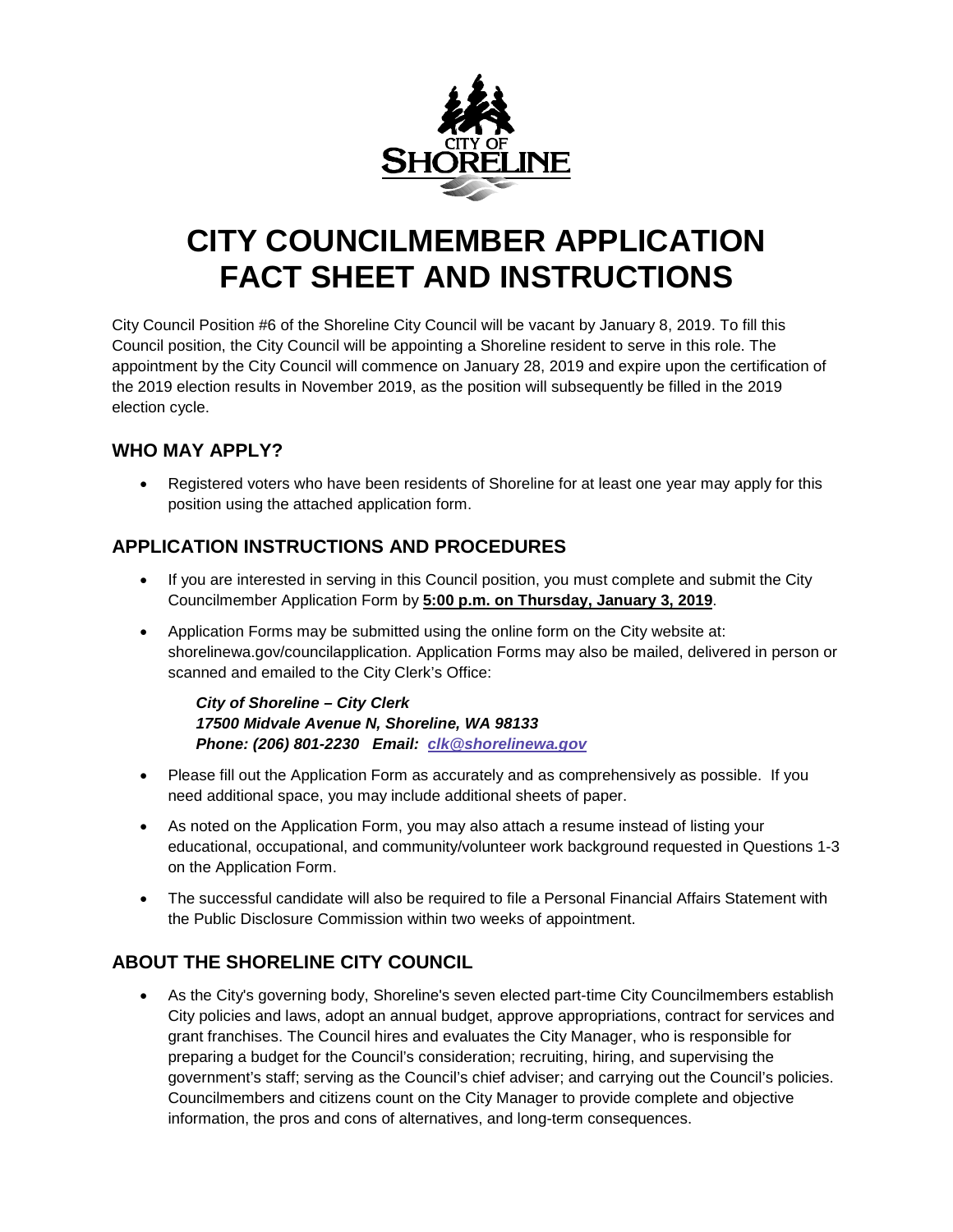

### **CITY COUNCILMEMBER APPLICATION FACT SHEET AND INSTRUCTIONS**

City Council Position #6 of the Shoreline City Council will be vacant by January 8, 2019. To fill this Council position, the City Council will be appointing a Shoreline resident to serve in this role. The appointment by the City Council will commence on January 28, 2019 and expire upon the certification of the 2019 election results in November 2019, as the position will subsequently be filled in the 2019 election cycle.

#### **WHO MAY APPLY?**

 Registered voters who have been residents of Shoreline for at least one year may apply for this position using the attached application form.

### **APPLICATION INSTRUCTIONS AND PROCEDURES**

- If you are interested in serving in this Council position, you must complete and submit the City Councilmember Application Form by **5:00 p.m. on Thursday, January 3, 2019**.
- Application Forms may be submitted using the online form on the City website at: shorelinewa.gov/councilapplication. Application Forms may also be mailed, delivered in person or scanned and emailed to the City Clerk's Office:

*City of Shoreline – City Clerk 17500 Midvale Avenue N, Shoreline, WA 98133 Phone: (206) 801-2230 Email: [clk@shorelinewa.gov](mailto:clk@shorelinewa.gov)*

- Please fill out the Application Form as accurately and as comprehensively as possible. If you need additional space, you may include additional sheets of paper.
- As noted on the Application Form, you may also attach a resume instead of listing your educational, occupational, and community/volunteer work background requested in Questions 1-3 on the Application Form.
- The successful candidate will also be required to file a Personal Financial Affairs Statement with the Public Disclosure Commission within two weeks of appointment.

### **ABOUT THE SHORELINE CITY COUNCIL**

 As the City's governing body, Shoreline's seven elected part-time City Councilmembers establish City policies and laws, adopt an annual budget, approve appropriations, contract for services and grant franchises. The Council hires and evaluates the City Manager, who is responsible for preparing a budget for the Council's consideration; recruiting, hiring, and supervising the government's staff; serving as the Council's chief adviser; and carrying out the Council's policies. Councilmembers and citizens count on the City Manager to provide complete and objective information, the pros and cons of alternatives, and long-term consequences.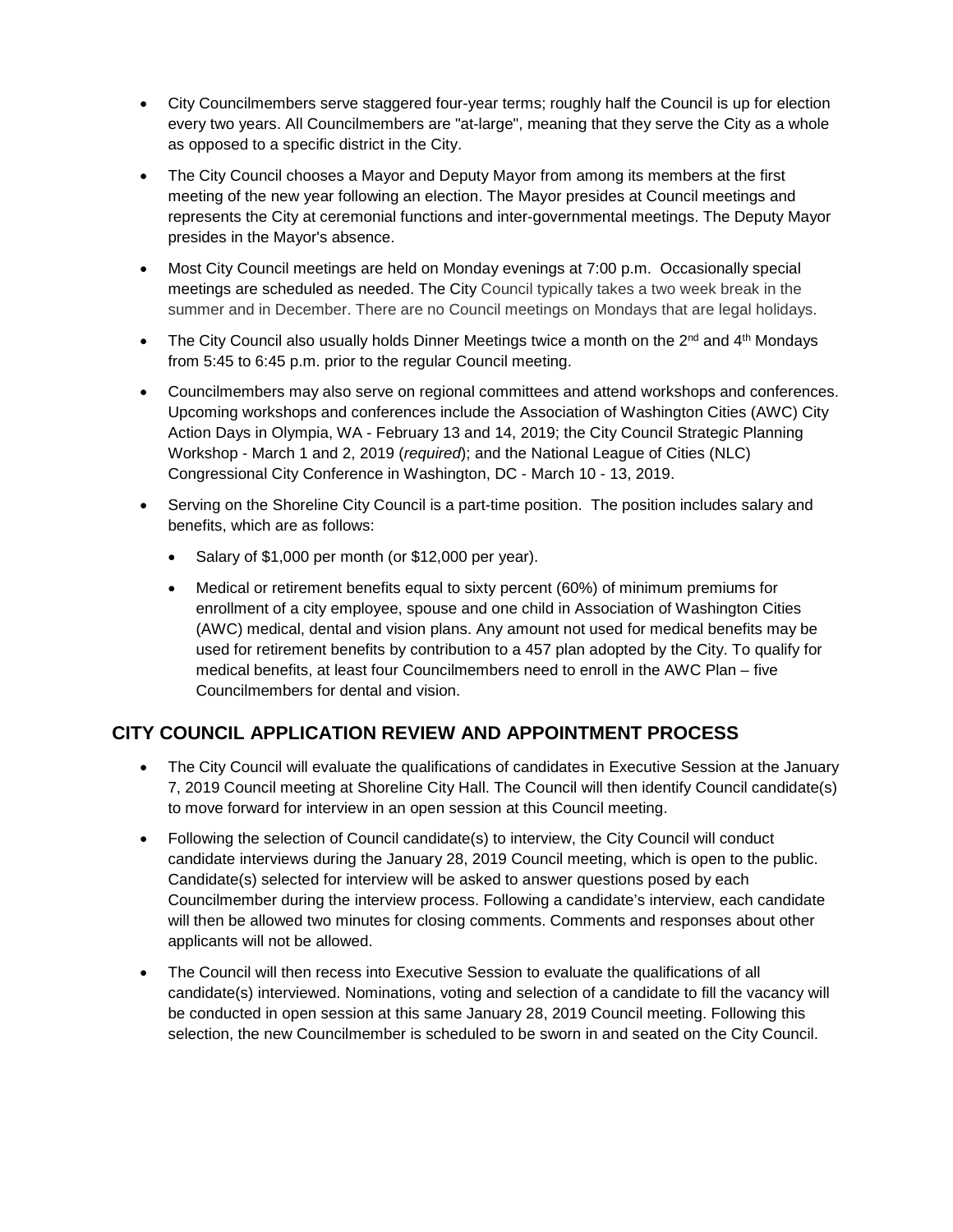- City Councilmembers serve staggered four-year terms; roughly half the Council is up for election every two years. All Councilmembers are "at-large", meaning that they serve the City as a whole as opposed to a specific district in the City.
- The City Council chooses a Mayor and Deputy Mayor from among its members at the first meeting of the new year following an election. The Mayor presides at Council meetings and represents the City at ceremonial functions and inter-governmental meetings. The Deputy Mayor presides in the Mayor's absence.
- Most City Council meetings are held on Monday evenings at 7:00 p.m. Occasionally special meetings are scheduled as needed. The City Council typically takes a two week break in the summer and in December. There are no Council meetings on Mondays that are legal holidays.
- The City Council also usually holds Dinner Meetings twice a month on the  $2^{nd}$  and  $4^{th}$  Mondays from 5:45 to 6:45 p.m. prior to the regular Council meeting.
- Councilmembers may also serve on regional committees and attend workshops and conferences. Upcoming workshops and conferences include the Association of Washington Cities (AWC) City Action Days in Olympia, WA - February 13 and 14, 2019; the City Council Strategic Planning Workshop - March 1 and 2, 2019 (*required*); and the National League of Cities (NLC) Congressional City Conference in Washington, DC - March 10 - 13, 2019.
- Serving on the Shoreline City Council is a part-time position. The position includes salary and benefits, which are as follows:
	- Salary of \$1,000 per month (or \$12,000 per year).
	- Medical or retirement benefits equal to sixty percent (60%) of minimum premiums for enrollment of a city employee, spouse and one child in Association of Washington Cities (AWC) medical, dental and vision plans. Any amount not used for medical benefits may be used for retirement benefits by contribution to a 457 plan adopted by the City. To qualify for medical benefits, at least four Councilmembers need to enroll in the AWC Plan – five Councilmembers for dental and vision.

### **CITY COUNCIL APPLICATION REVIEW AND APPOINTMENT PROCESS**

- The City Council will evaluate the qualifications of candidates in Executive Session at the January 7, 2019 Council meeting at Shoreline City Hall. The Council will then identify Council candidate(s) to move forward for interview in an open session at this Council meeting.
- Following the selection of Council candidate(s) to interview, the City Council will conduct candidate interviews during the January 28, 2019 Council meeting, which is open to the public. Candidate(s) selected for interview will be asked to answer questions posed by each Councilmember during the interview process. Following a candidate's interview, each candidate will then be allowed two minutes for closing comments. Comments and responses about other applicants will not be allowed.
- The Council will then recess into Executive Session to evaluate the qualifications of all candidate(s) interviewed. Nominations, voting and selection of a candidate to fill the vacancy will be conducted in open session at this same January 28, 2019 Council meeting. Following this selection, the new Councilmember is scheduled to be sworn in and seated on the City Council.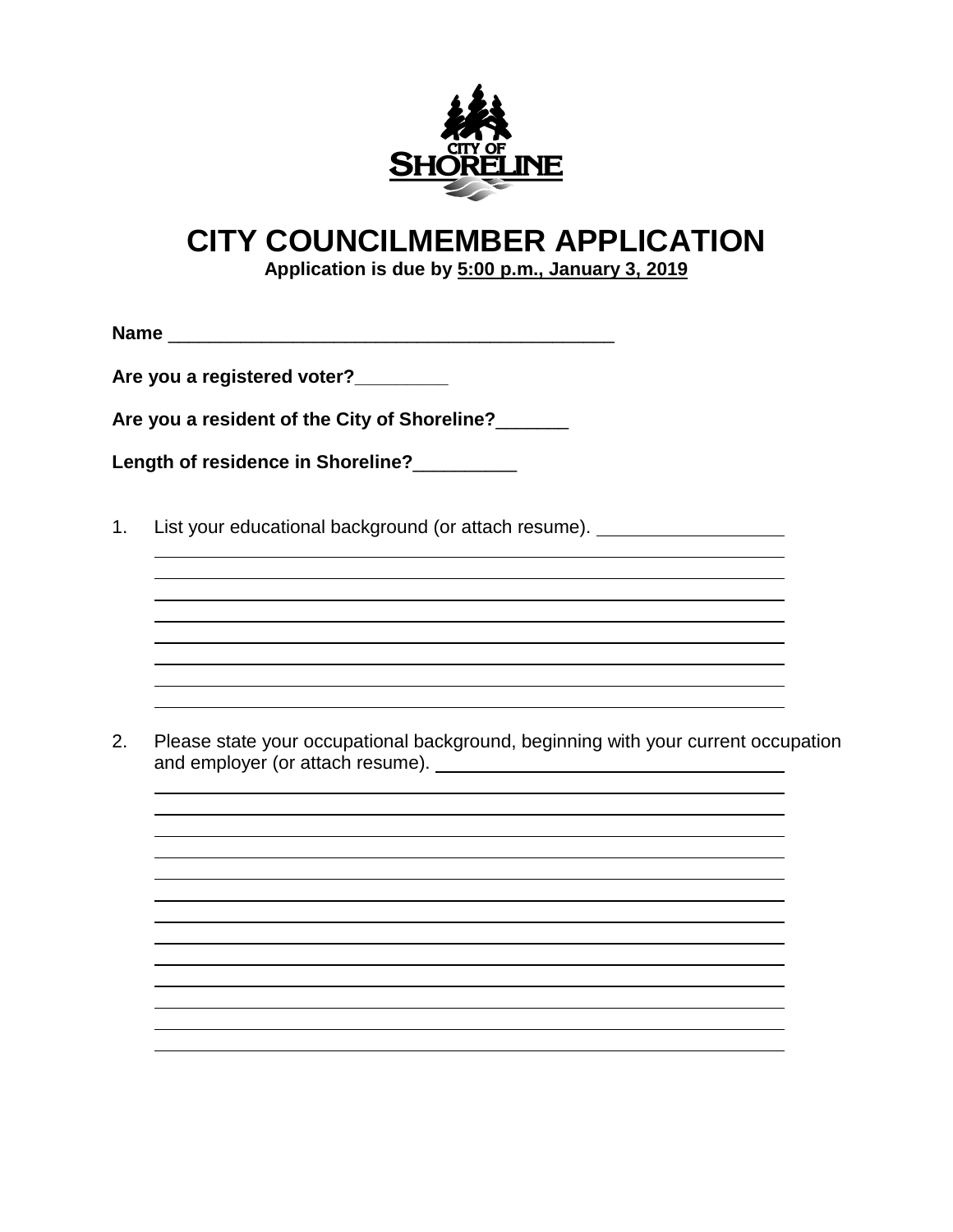

# **CITY COUNCILMEMBER APPLICATION**

**Application is due by 5:00 p.m., January 3, 2019** 

**Name** \_\_\_\_\_\_\_\_\_\_\_\_\_\_\_\_\_\_\_\_\_\_\_\_\_\_\_\_\_\_\_\_\_\_\_\_\_\_\_\_\_\_\_

**Are you a registered voter?\_\_\_\_\_\_\_\_\_** 

**Are you a resident of the City of Shoreline?**\_\_\_\_\_\_\_

**Length of residence in Shoreline?**\_\_\_\_\_\_\_\_\_\_

1. List your educational background (or attach resume).

2. Please state your occupational background, beginning with your current occupation and employer (or attach resume).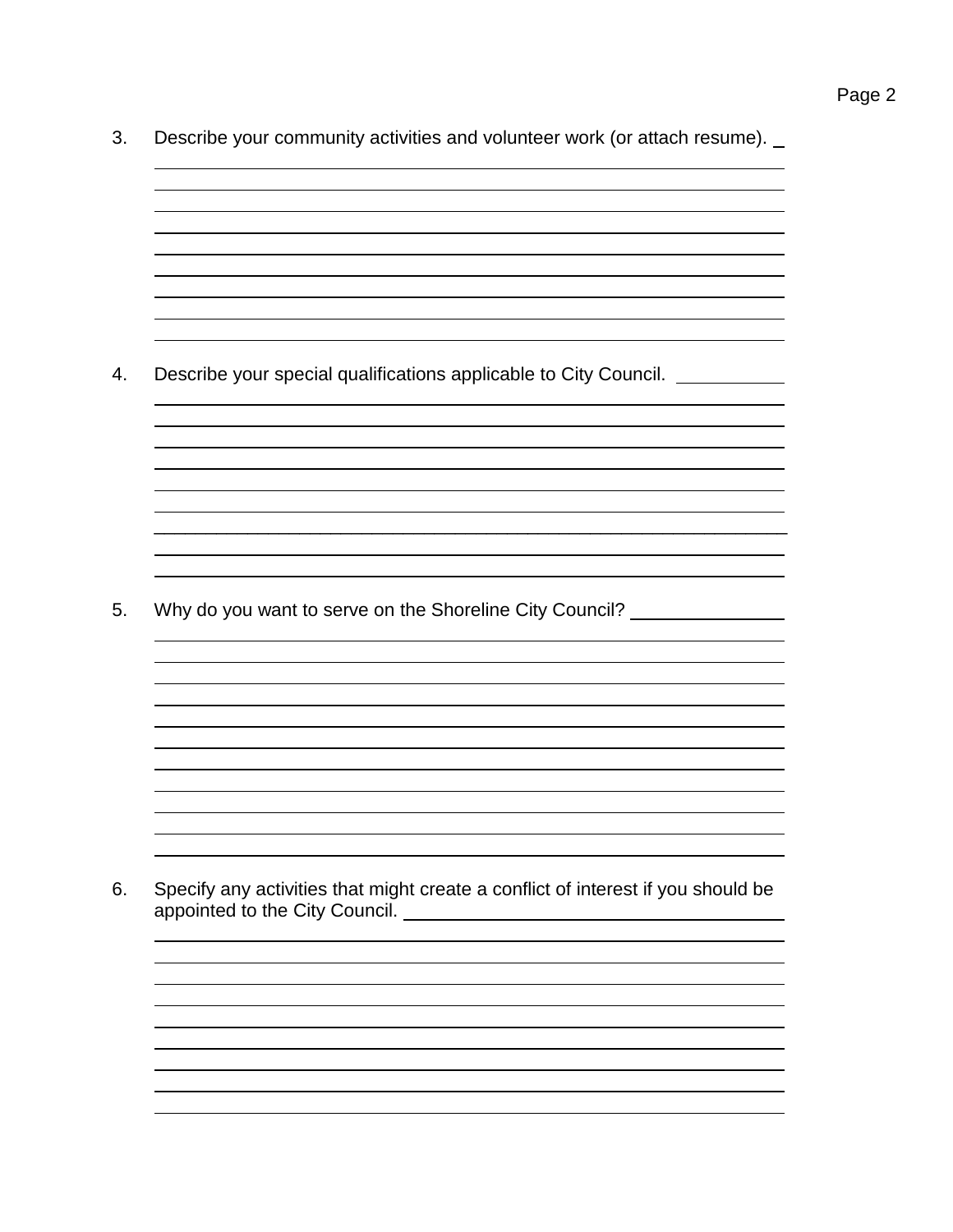3. Describe your community activities and volunteer work (or attach resume).

\_\_\_\_\_\_\_\_\_\_\_\_\_\_\_\_\_\_\_\_\_\_\_\_\_\_\_\_\_\_\_\_\_\_\_\_\_\_\_\_\_\_\_\_\_\_\_\_\_\_\_\_\_\_\_\_\_\_\_\_\_

the control of the control of the control of the control of the control of the control of the control of the control of the control of the control of the control of the control of the control of the control of the control

4. Describe your special qualifications applicable to City Council.

5. Why do you want to serve on the Shoreline City Council?

6. Specify any activities that might create a conflict of interest if you should be appointed to the City Council.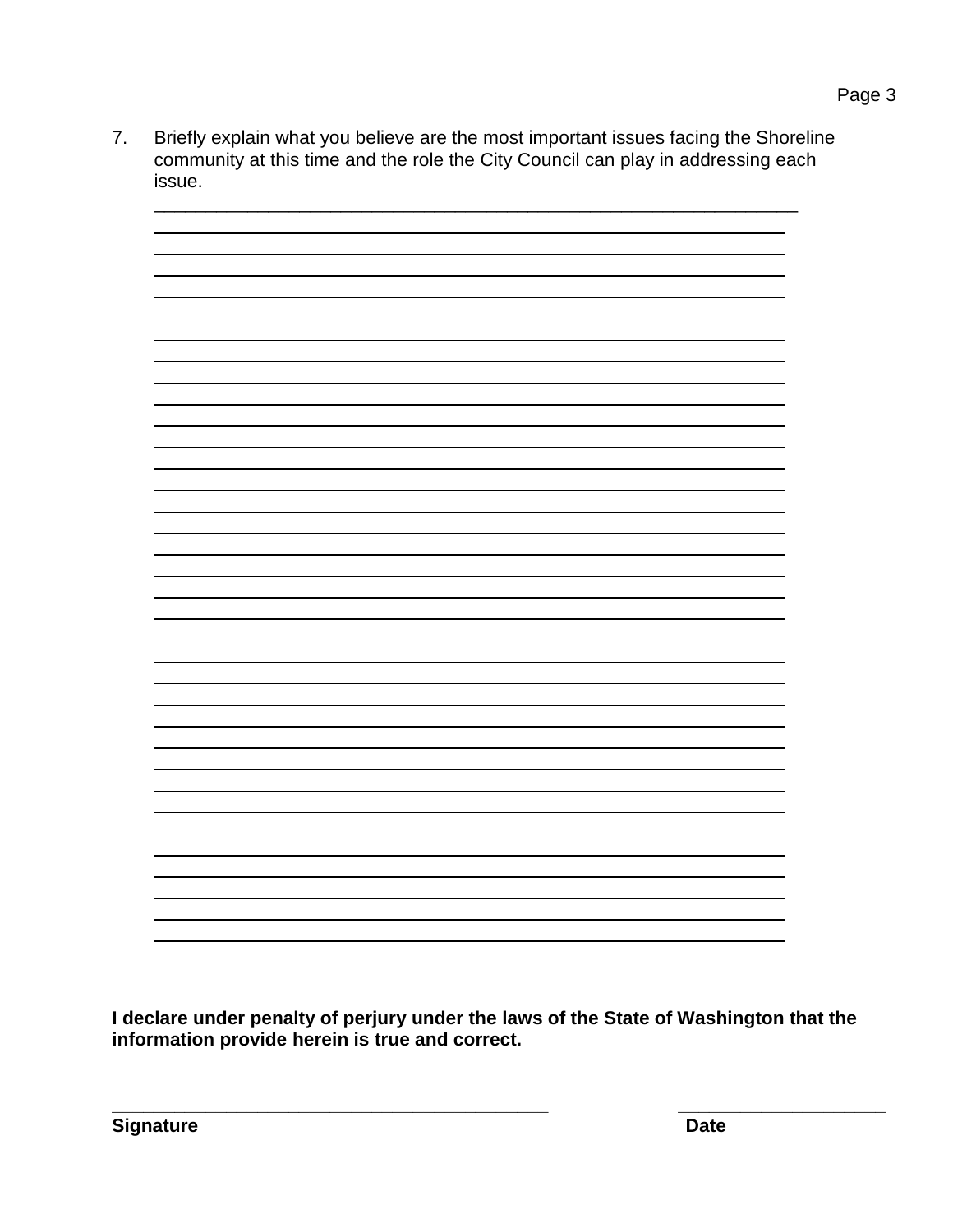7. Briefly explain what you believe are the most important issues facing the Shoreline community at this time and the role the City Council can play in addressing each issue.

**I declare under penalty of perjury under the laws of the State of Washington that the information provide herein is true and correct.** 

**\_\_\_\_\_\_\_\_\_\_\_\_\_\_\_\_\_\_\_\_\_\_\_\_\_\_\_\_\_\_\_\_\_\_\_\_\_\_\_\_\_\_ \_\_\_\_\_\_\_\_\_\_\_\_\_\_\_\_\_\_\_\_**